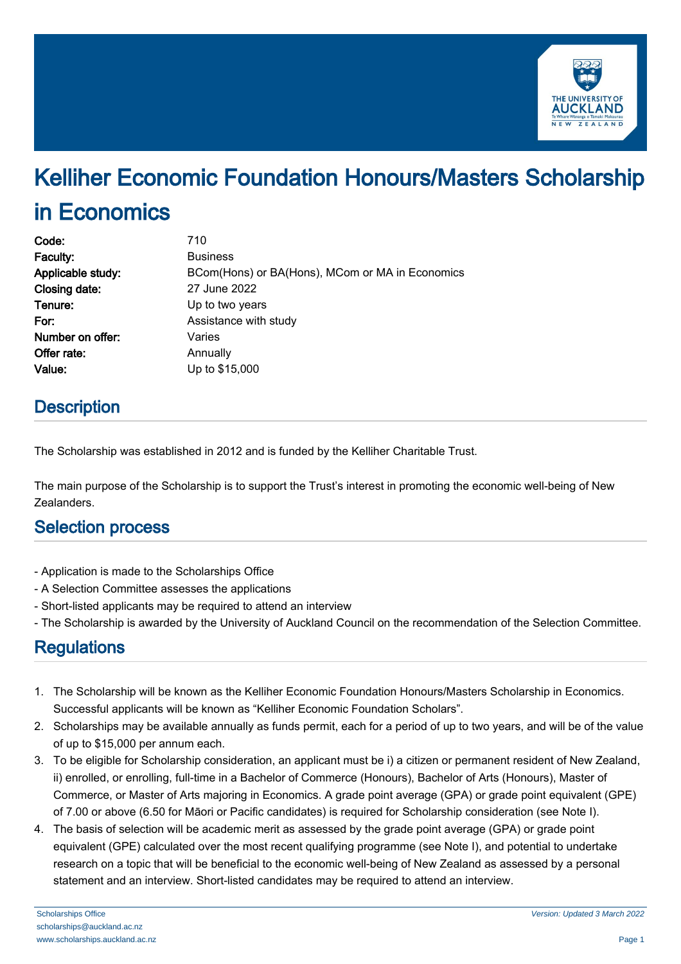

# Kelliher Economic Foundation Honours/Masters Scholarship in Economics

| Code:             | 710                                             |
|-------------------|-------------------------------------------------|
| Faculty:          | <b>Business</b>                                 |
| Applicable study: | BCom(Hons) or BA(Hons), MCom or MA in Economics |
| Closing date:     | 27 June 2022                                    |
| Tenure:           | Up to two years                                 |
| For:              | Assistance with study                           |
| Number on offer:  | Varies                                          |
| Offer rate:       | Annually                                        |
| Value:            | Up to \$15,000                                  |
|                   |                                                 |

### **Description**

The Scholarship was established in 2012 and is funded by the Kelliher Charitable Trust.

The main purpose of the Scholarship is to support the Trust's interest in promoting the economic well-being of New Zealanders.

### Selection process

- Application is made to the Scholarships Office
- A Selection Committee assesses the applications
- Short-listed applicants may be required to attend an interview
- The Scholarship is awarded by the University of Auckland Council on the recommendation of the Selection Committee.

### **Regulations**

- 1. The Scholarship will be known as the Kelliher Economic Foundation Honours/Masters Scholarship in Economics. Successful applicants will be known as "Kelliher Economic Foundation Scholars".
- 2. Scholarships may be available annually as funds permit, each for a period of up to two years, and will be of the value of up to \$15,000 per annum each.
- 3. To be eligible for Scholarship consideration, an applicant must be i) a citizen or permanent resident of New Zealand, ii) enrolled, or enrolling, full-time in a Bachelor of Commerce (Honours), Bachelor of Arts (Honours), Master of Commerce, or Master of Arts majoring in Economics. A grade point average (GPA) or grade point equivalent (GPE) of 7.00 or above (6.50 for Māori or Pacific candidates) is required for Scholarship consideration (see Note I).
- 4. The basis of selection will be academic merit as assessed by the grade point average (GPA) or grade point equivalent (GPE) calculated over the most recent qualifying programme (see Note I), and potential to undertake research on a topic that will be beneficial to the economic well-being of New Zealand as assessed by a personal statement and an interview. Short-listed candidates may be required to attend an interview.